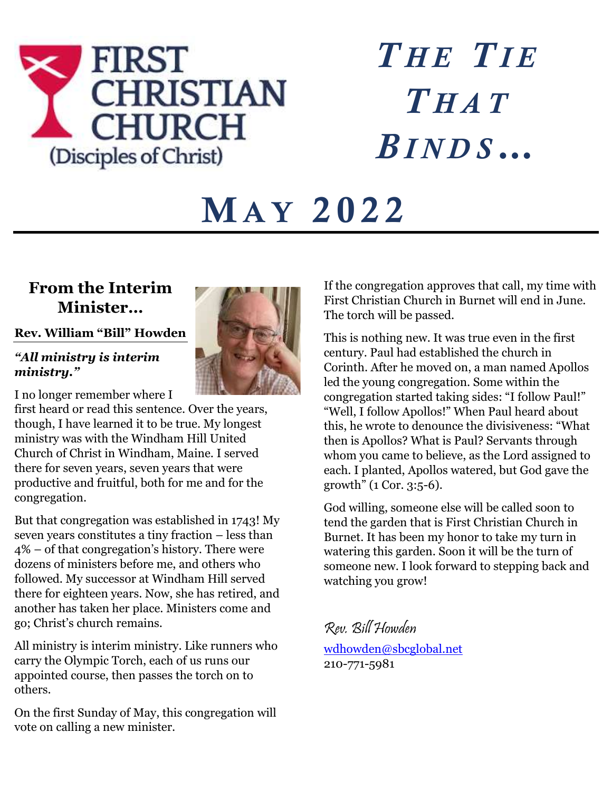

# *T H E TI E T H A T B I N D S…*

# **MAY 2022**

## **From the Interim Minister…**

#### **Rev. William "Bill" Howden**

#### *"All ministry is interim ministry."*

I no longer remember where I

first heard or read this sentence. Over the years, though, I have learned it to be true. My longest ministry was with the Windham Hill United Church of Christ in Windham, Maine. I served there for seven years, seven years that were productive and fruitful, both for me and for the congregation.

But that congregation was established in 1743! My seven years constitutes a tiny fraction – less than 4% – of that congregation's history. There were dozens of ministers before me, and others who followed. My successor at Windham Hill served there for eighteen years. Now, she has retired, and another has taken her place. Ministers come and go; Christ's church remains.

All ministry is interim ministry. Like runners who carry the Olympic Torch, each of us runs our appointed course, then passes the torch on to others.

On the first Sunday of May, this congregation will vote on calling a new minister.



This is nothing new. It was true even in the first century. Paul had established the church in Corinth. After he moved on, a man named Apollos led the young congregation. Some within the congregation started taking sides: "I follow Paul!" "Well, I follow Apollos!" When Paul heard about this, he wrote to denounce the divisiveness: "What then is Apollos? What is Paul? Servants through whom you came to believe, as the Lord assigned to each. I planted, Apollos watered, but God gave the growth" (1 Cor. 3:5-6).

God willing, someone else will be called soon to tend the garden that is First Christian Church in Burnet. It has been my honor to take my turn in watering this garden. Soon it will be the turn of someone new. I look forward to stepping back and watching you grow!

Rev. Bill Howden [wdhowden@sbcglobal.net](mailto:wdhowden@sbcglobal.net) 210-771-5981

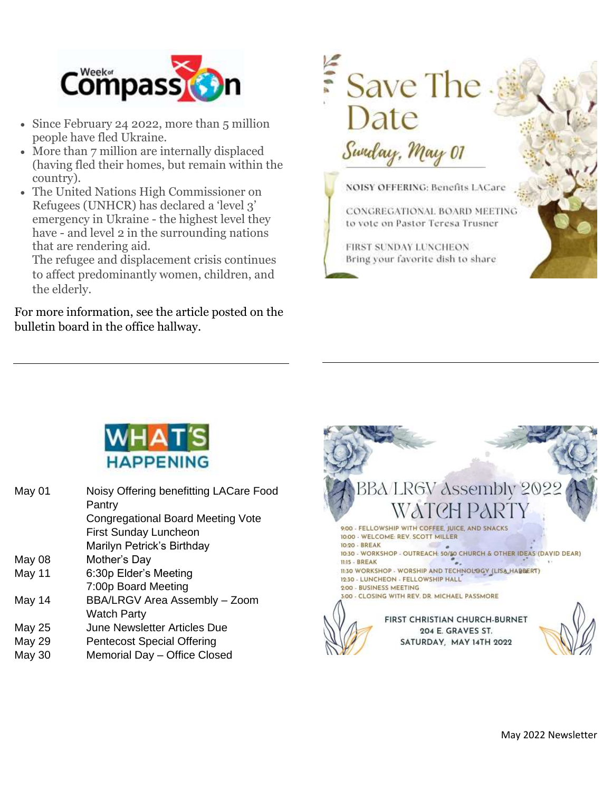

- Since February 24 2022, more than 5 million people have fled Ukraine.
- More than 7 million are internally displaced (having fled their homes, but remain within the country).
- The United Nations High Commissioner on Refugees (UNHCR) has declared a 'level 3' emergency in Ukraine - the highest level they have - and level 2 in the surrounding nations that are rendering aid.

The refugee and displacement crisis continues to affect predominantly women, children, and the elderly.

For more information, see the article posted on the bulletin board in the office hallway.





| Noisy Offering benefitting LACare Food<br>Pantry<br><b>Congregational Board Meeting Vote</b> |  |  |  |  |
|----------------------------------------------------------------------------------------------|--|--|--|--|
| <b>First Sunday Luncheon</b><br>Marilyn Petrick's Birthday                                   |  |  |  |  |
| Mother's Day                                                                                 |  |  |  |  |
| 6:30p Elder's Meeting                                                                        |  |  |  |  |
| 7:00p Board Meeting                                                                          |  |  |  |  |
| BBA/LRGV Area Assembly - Zoom                                                                |  |  |  |  |
| <b>Watch Party</b>                                                                           |  |  |  |  |
| June Newsletter Articles Due                                                                 |  |  |  |  |
| <b>Pentecost Special Offering</b>                                                            |  |  |  |  |
| Memorial Day - Office Closed                                                                 |  |  |  |  |
|                                                                                              |  |  |  |  |

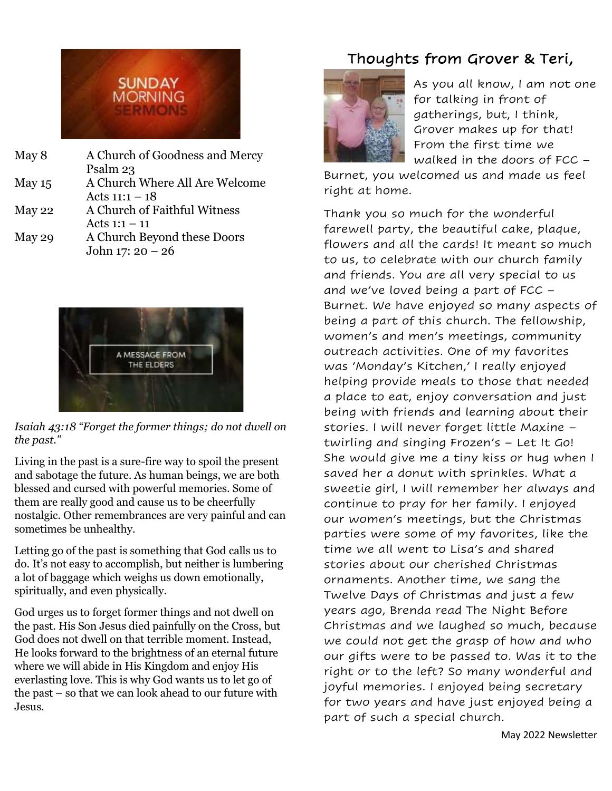

| May 8    | A Church of Goodness and Mercy |
|----------|--------------------------------|
|          | Psalm 23                       |
| May $15$ | A Church Where All Are Welcome |
|          | Acts $11:1 - 18$               |
| May 22   | A Church of Faithful Witness   |
|          | Acts $1:1 - 11$                |
| May 29   | A Church Beyond these Doors    |
|          | John 17: 20 - 26               |



*Isaiah 43:18 "Forget the former things; do not dwell on the past."*

Living in the past is a sure-fire way to spoil the present and sabotage the future. As human beings, we are both blessed and cursed with powerful memories. Some of them are really good and cause us to be cheerfully nostalgic. Other remembrances are very painful and can sometimes be unhealthy.

Letting go of the past is something that God calls us to do. It's not easy to accomplish, but neither is lumbering a lot of baggage which weighs us down emotionally, spiritually, and even physically.

God urges us to forget former things and not dwell on the past. His Son Jesus died painfully on the Cross, but God does not dwell on that terrible moment. Instead, He looks forward to the brightness of an eternal future where we will abide in His Kingdom and enjoy His everlasting love. This is why God wants us to let go of the past – so that we can look ahead to our future with Jesus.

## Thoughts from Grover & Teri,



As you all know, I am not one for talking in front of gatherings, but, I think, Grover makes up for that! From the first time we walked in the doors of FCC –

Burnet, you welcomed us and made us feel right at home.

Thank you so much for the wonderful farewell party, the beautiful cake, plaque, flowers and all the cards! It meant so much to us, to celebrate with our church family and friends. You are all very special to us and we've loved being a part of FCC – Burnet. We have enjoyed so many aspects of being a part of this church. The fellowship, women's and men's meetings, community outreach activities. One of my favorites was 'Monday's Kitchen,' I really enjoyed helping provide meals to those that needed a place to eat, enjoy conversation and just being with friends and learning about their stories. I will never forget little Maxine – twirling and singing Frozen's – Let It Go! She would give me a tiny kiss or hug when I saved her a donut with sprinkles. What a sweetie girl, I will remember her always and continue to pray for her family. I enjoyed our women's meetings, but the Christmas parties were some of my favorites, like the time we all went to Lisa's and shared stories about our cherished Christmas ornaments. Another time, we sang the Twelve Days of Christmas and just a few years ago, Brenda read The Night Before Christmas and we laughed so much, because we could not get the grasp of how and who our gifts were to be passed to. Was it to the right or to the left? So many wonderful and joyful memories. I enjoyed being secretary for two years and have just enjoyed being a part of such a special church.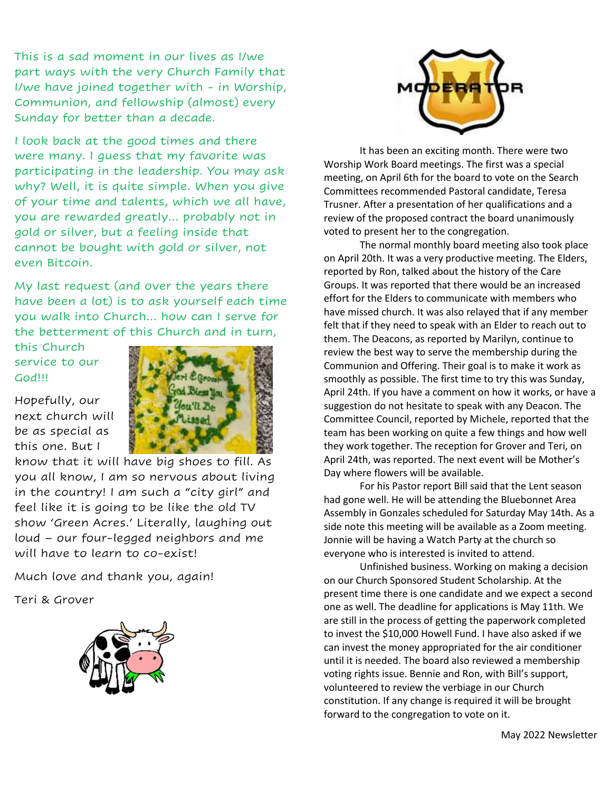This is a sad moment in our lives as I/we part ways with the very Church Family that I/we have joined together with - in Worship, Communion, and fellowship (almost) every Sunday for better than a decade.

I look back at the good times and there were many. I guess that my favorite was participating in the leadership. You may ask why? Well, it is quite simple. When you give of your time and talents, which we all have, you are rewarded greatly… probably not in gold or silver, but a feeling inside that cannot be bought with gold or silver, not even Bitcoin.

My last request (and over the years there have been a lot) is to ask yourself each time you walk into Church… how can I serve for the betterment of this Church and in turn,

this Church service to our God!!!

Hopefully, our next church will be as special as this one. But I



know that it will have big shoes to fill. As you all know, I am so nervous about living in the country! I am such a "city girl" and feel like it is going to be like the old TV show 'Green Acres.' Literally, laughing out loud – our four-legged neighbors and me will have to learn to co-exist!

Much love and thank you, again!

Teri & Grover





It has been an exciting month. There were two Worship Work Board meetings. The first was a special meeting, on April 6th for the board to vote on the Search Committees recommended Pastoral candidate, Teresa Trusner. After a presentation of her qualifications and a review of the proposed contract the board unanimously voted to present her to the congregation.

The normal monthly board meeting also took place on April 20th. It was a very productive meeting. The Elders, reported by Ron, talked about the history of the Care Groups. It was reported that there would be an increased effort for the Elders to communicate with members who have missed church. It was also relayed that if any member felt that if they need to speak with an Elder to reach out to them. The Deacons, as reported by Marilyn, continue to review the best way to serve the membership during the Communion and Offering. Their goal is to make it work as smoothly as possible. The first time to try this was Sunday, April 24th. If you have a comment on how it works, or have a suggestion do not hesitate to speak with any Deacon. The Committee Council, reported by Michele, reported that the team has been working on quite a few things and how well they work together. The reception for Grover and Teri, on April 24th, was reported. The next event will be Mother's Day where flowers will be available.

For his Pastor report Bill said that the Lent season had gone well. He will be attending the Bluebonnet Area Assembly in Gonzales scheduled for Saturday May 14th. As a side note this meeting will be available as a Zoom meeting. Jonnie will be having a Watch Party at the church so everyone who is interested is invited to attend.

Unfinished business. Working on making a decision on our Church Sponsored Student Scholarship. At the present time there is one candidate and we expect a second one as well. The deadline for applications is May 11th. We are still in the process of getting the paperwork completed to invest the \$10,000 Howell Fund. I have also asked if we can invest the money appropriated for the air conditioner until it is needed. The board also reviewed a membership voting rights issue. Bennie and Ron, with Bill's support, volunteered to review the verbiage in our Church constitution. If any change is required it will be brought forward to the congregation to vote on it.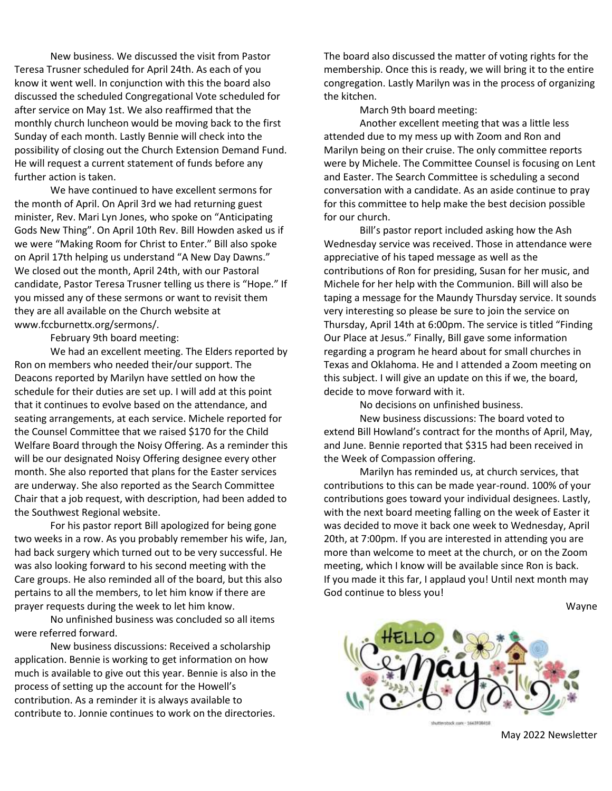New business. We discussed the visit from Pastor Teresa Trusner scheduled for April 24th. As each of you know it went well. In conjunction with this the board also discussed the scheduled Congregational Vote scheduled for after service on May 1st. We also reaffirmed that the monthly church luncheon would be moving back to the first Sunday of each month. Lastly Bennie will check into the possibility of closing out the Church Extension Demand Fund. He will request a current statement of funds before any further action is taken.

We have continued to have excellent sermons for the month of April. On April 3rd we had returning guest minister, Rev. Mari Lyn Jones, who spoke on "Anticipating Gods New Thing". On April 10th Rev. Bill Howden asked us if we were "Making Room for Christ to Enter." Bill also spoke on April 17th helping us understand "A New Day Dawns." We closed out the month, April 24th, with our Pastoral candidate, Pastor Teresa Trusner telling us there is "Hope." If you missed any of these sermons or want to revisit them they are all available on the Church website at www.fccburnettx.org/sermons/.

February 9th board meeting:

We had an excellent meeting. The Elders reported by Ron on members who needed their/our support. The Deacons reported by Marilyn have settled on how the schedule for their duties are set up. I will add at this point that it continues to evolve based on the attendance, and seating arrangements, at each service. Michele reported for the Counsel Committee that we raised \$170 for the Child Welfare Board through the Noisy Offering. As a reminder this will be our designated Noisy Offering designee every other month. She also reported that plans for the Easter services are underway. She also reported as the Search Committee Chair that a job request, with description, had been added to the Southwest Regional website.

For his pastor report Bill apologized for being gone two weeks in a row. As you probably remember his wife, Jan, had back surgery which turned out to be very successful. He was also looking forward to his second meeting with the Care groups. He also reminded all of the board, but this also pertains to all the members, to let him know if there are prayer requests during the week to let him know.

No unfinished business was concluded so all items were referred forward.

New business discussions: Received a scholarship application. Bennie is working to get information on how much is available to give out this year. Bennie is also in the process of setting up the account for the Howell's contribution. As a reminder it is always available to contribute to. Jonnie continues to work on the directories.

The board also discussed the matter of voting rights for the membership. Once this is ready, we will bring it to the entire congregation. Lastly Marilyn was in the process of organizing the kitchen.

March 9th board meeting:

Another excellent meeting that was a little less attended due to my mess up with Zoom and Ron and Marilyn being on their cruise. The only committee reports were by Michele. The Committee Counsel is focusing on Lent and Easter. The Search Committee is scheduling a second conversation with a candidate. As an aside continue to pray for this committee to help make the best decision possible for our church.

Bill's pastor report included asking how the Ash Wednesday service was received. Those in attendance were appreciative of his taped message as well as the contributions of Ron for presiding, Susan for her music, and Michele for her help with the Communion. Bill will also be taping a message for the Maundy Thursday service. It sounds very interesting so please be sure to join the service on Thursday, April 14th at 6:00pm. The service is titled "Finding Our Place at Jesus." Finally, Bill gave some information regarding a program he heard about for small churches in Texas and Oklahoma. He and I attended a Zoom meeting on this subject. I will give an update on this if we, the board, decide to move forward with it.

No decisions on unfinished business.

New business discussions: The board voted to extend Bill Howland's contract for the months of April, May, and June. Bennie reported that \$315 had been received in the Week of Compassion offering.

Marilyn has reminded us, at church services, that contributions to this can be made year-round. 100% of your contributions goes toward your individual designees. Lastly, with the next board meeting falling on the week of Easter it was decided to move it back one week to Wednesday, April 20th, at 7:00pm. If you are interested in attending you are more than welcome to meet at the church, or on the Zoom meeting, which I know will be available since Ron is back. If you made it this far, I applaud you! Until next month may God continue to bless you!

Wayne

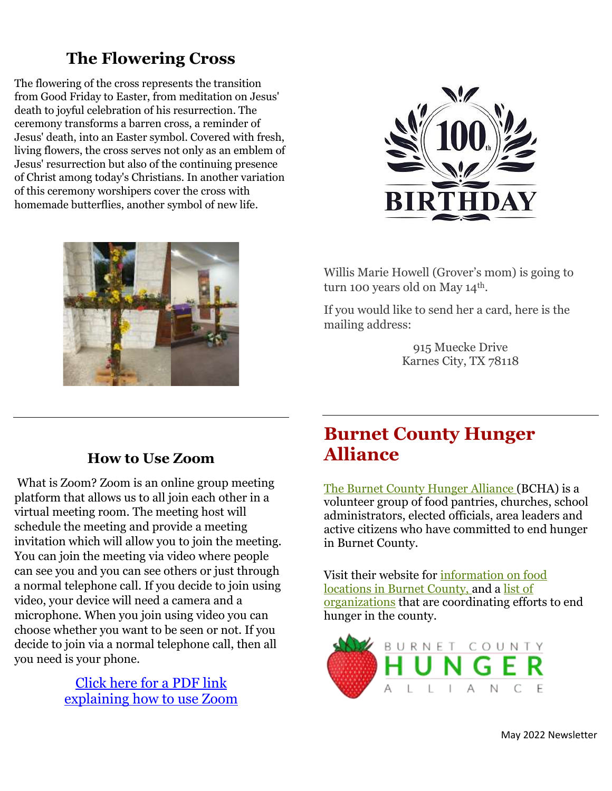# **The Flowering Cross**

The flowering of the cross represents the transition from Good Friday to Easter, from meditation on Jesus' death to joyful celebration of his resurrection. The ceremony transforms a barren cross, a reminder of Jesus' death, into an Easter symbol. Covered with fresh, living flowers, the cross serves not only as an emblem of Jesus' resurrection but also of the continuing presence of Christ among today's Christians. In another variation of this ceremony worshipers cover the cross with homemade butterflies, another symbol of new life.





Willis Marie Howell (Grover's mom) is going to turn 100 years old on May 14<sup>th</sup>.

If you would like to send her a card, here is the mailing address:

> 915 Muecke Drive Karnes City, TX 78118

#### **How to Use Zoom**

What is Zoom? Zoom is an online group meeting platform that allows us to all join each other in a virtual meeting room. The meeting host will schedule the meeting and provide a meeting invitation which will allow you to join the meeting. You can join the meeting via video where people can see you and you can see others or just through a normal telephone call. If you decide to join using video, your device will need a camera and a microphone. When you join using video you can choose whether you want to be seen or not. If you decide to join via a normal telephone call, then all you need is your phone.

> [Click here for a PDF](https://static1.squarespace.com/static/508590e6e4b02e0cbd20fcfc/t/5f72365f0fd0853d37817c68/1601320544279/How+to+use+Zoom.pdf) link [explaining how to use Zoom](https://static1.squarespace.com/static/508590e6e4b02e0cbd20fcfc/t/5f72365f0fd0853d37817c68/1601320544279/How+to+use+Zoom.pdf)

# **Burnet County Hunger Alliance**

[The Burnet County Hunger Alliance](http://www.burnetcountyhungeralliance.org/) (BCHA) is a volunteer group of food pantries, churches, school administrators, elected officials, area leaders and active citizens who have committed to end hunger in Burnet County.

Visit their website for [information on food](https://www.burnetcountyhungeralliance.org/food-locations/)  [locations in Burnet County,](https://www.burnetcountyhungeralliance.org/food-locations/) and a [list of](https://www.burnetcountyhungeralliance.org/organizations/)  [organizations](https://www.burnetcountyhungeralliance.org/organizations/) that are coordinating efforts to end hunger in the county.

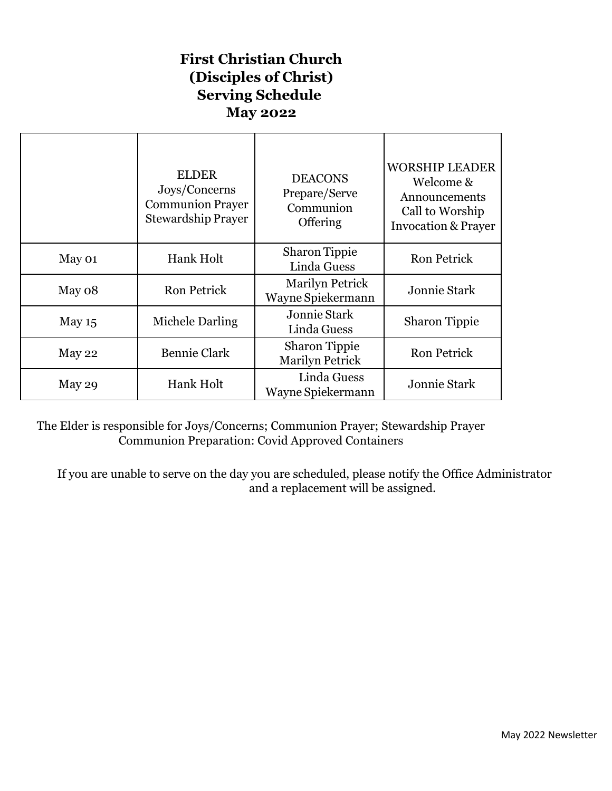### **First Christian Church (Disciples of Christ) Serving Schedule May 2022**

|          | <b>ELDER</b><br>Joys/Concerns<br><b>Communion Prayer</b><br><b>Stewardship Prayer</b> | <b>DEACONS</b><br>Prepare/Serve<br>Communion<br><b>Offering</b> | <b>WORSHIP LEADER</b><br>Welcome &<br>Announcements<br>Call to Worship<br><b>Invocation &amp; Prayer</b> |
|----------|---------------------------------------------------------------------------------------|-----------------------------------------------------------------|----------------------------------------------------------------------------------------------------------|
| May 01   | Hank Holt                                                                             | <b>Sharon Tippie</b><br>Linda Guess                             | <b>Ron Petrick</b>                                                                                       |
| May 08   | <b>Ron Petrick</b>                                                                    | <b>Marilyn Petrick</b><br>Wayne Spiekermann                     | <b>Jonnie Stark</b>                                                                                      |
| May $15$ | Michele Darling                                                                       | Jonnie Stark<br>Linda Guess                                     | <b>Sharon Tippie</b>                                                                                     |
| May 22   | <b>Bennie Clark</b>                                                                   | <b>Sharon Tippie</b><br><b>Marilyn Petrick</b>                  | <b>Ron Petrick</b>                                                                                       |
| May 29   | Hank Holt                                                                             | Linda Guess<br>Wayne Spiekermann                                | Jonnie Stark                                                                                             |

The Elder is responsible for Joys/Concerns; Communion Prayer; Stewardship Prayer Communion Preparation: Covid Approved Containers

If you are unable to serve on the day you are scheduled, please notify the Office Administrator and a replacement will be assigned.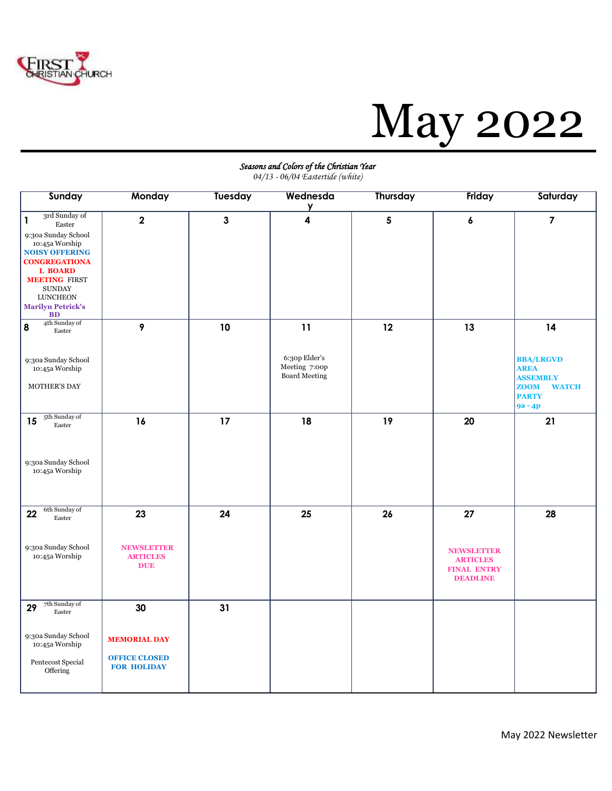

# May 2022

#### *Seasons and Colors of the Christian Year*

*04/13 - 06/04 Eastertide (white)*

| Sunday                                                                                                                                                                                                                                             | Monday                                                                  | <b>Tuesday</b> | Wednesda<br>$\mathsf{y}$                                     | <b>Thursday</b>         | Friday                                                                              | Saturday                                                                                                           |
|----------------------------------------------------------------------------------------------------------------------------------------------------------------------------------------------------------------------------------------------------|-------------------------------------------------------------------------|----------------|--------------------------------------------------------------|-------------------------|-------------------------------------------------------------------------------------|--------------------------------------------------------------------------------------------------------------------|
| 3rd Sunday of<br>$\mathbf{1}$<br>Easter<br>9:30a Sunday School<br>10:45a Worship<br><b>NOISY OFFERING</b><br><b>CONGREGATIONA</b><br><b>L BOARD</b><br><b>MEETING FIRST</b><br><b>SUNDAY</b><br>${\rm LUNCHEON}$<br><b>Marilyn Petrick's</b><br>BD | $\mathbf 2$                                                             | $\mathbf{3}$   | 4                                                            | $\overline{\mathbf{5}}$ | $\pmb{6}$                                                                           | $\overline{7}$                                                                                                     |
| 4th Sunday of<br>8<br>Easter<br>9:30a Sunday School<br>10:45a Worship<br><b>MOTHER'S DAY</b>                                                                                                                                                       | $\boldsymbol{9}$                                                        | 10             | 11<br>6:30p Elder's<br>Meeting 7:00p<br><b>Board Meeting</b> | 12                      | 13                                                                                  | 14<br><b>BBA/LRGVD</b><br><b>AREA</b><br><b>ASSEMBLY</b><br><b>ZOOM</b><br><b>WATCH</b><br><b>PARTY</b><br>9a - 4p |
| 5th Sunday of<br>15<br>Easter<br>9:30a Sunday School<br>10:45a Worship                                                                                                                                                                             | 16                                                                      | 17             | 18                                                           | 19                      | 20                                                                                  | 21                                                                                                                 |
| 6th Sunday of<br>22<br>Easter<br>9:30a Sunday School<br>10:45a Worship                                                                                                                                                                             | 23<br><b>NEWSLETTER</b><br><b>ARTICLES</b><br><b>DUE</b>                | 24             | 25                                                           | 26                      | 27<br><b>NEWSLETTER</b><br><b>ARTICLES</b><br><b>FINAL ENTRY</b><br><b>DEADLINE</b> | 28                                                                                                                 |
| 7th Sunday of<br>29<br>$\operatorname{Easter}$<br>9:30a Sunday School<br>10:45a Worship<br>Pentecost Special<br>Offering                                                                                                                           | 30<br><b>MEMORIAL DAY</b><br><b>OFFICE CLOSED</b><br><b>FOR HOLIDAY</b> | 31             |                                                              |                         |                                                                                     |                                                                                                                    |